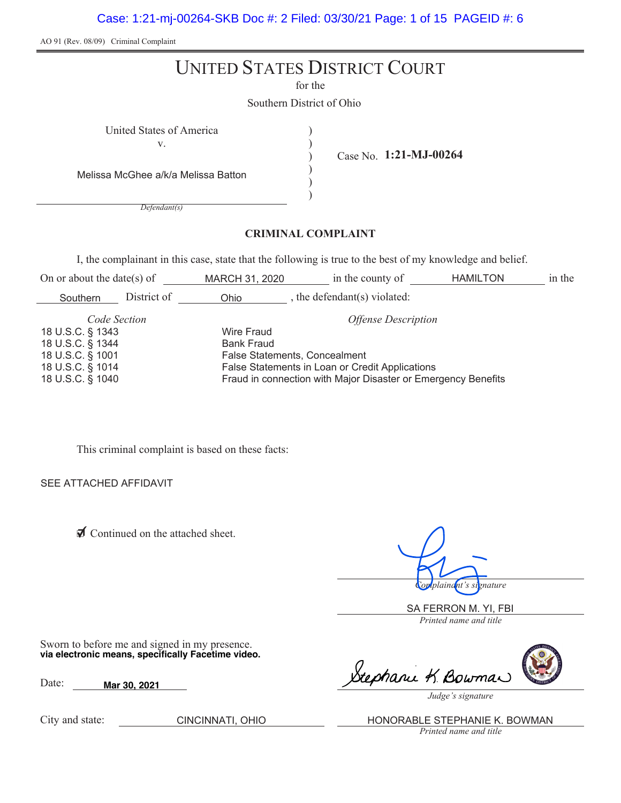Case: 1:21-mj-00264-SKB Doc #: 2 Filed: 03/30/21 Page: 1 of 15 PAGEID #: 6

AO 91 (Rev. 08/09) Criminal Complaint

# UNITED STATES DISTRICT COURT

for the

) ) ) ) )

Case No. **1:21-MJ-00264**

Southern District of Ohio

United States of America (1996)

v.

Melissa McGhee a/k/a Melissa Batton

*Defendant(s)*

#### **CRIMINAL COMPLAINT**

I, the complainant in this case, state that the following is true to the best of my knowledge and belief.

| On or about the date(s) of | in the county of<br>MARCH 31, 2020                            |                                                 | <b>HAMILTON</b> | in the |  |  |
|----------------------------|---------------------------------------------------------------|-------------------------------------------------|-----------------|--------|--|--|
| District of<br>Southern    | Ohio                                                          | the defendant(s) violated:                      |                 |        |  |  |
| Code Section               |                                                               | <b>Offense Description</b>                      |                 |        |  |  |
| 18 U.S.C. § 1343           | Wire Fraud                                                    |                                                 |                 |        |  |  |
| 18 U.S.C. § 1344           | <b>Bank Fraud</b>                                             |                                                 |                 |        |  |  |
| 18 U.S.C. § 1001           | False Statements, Concealment                                 |                                                 |                 |        |  |  |
| 18 U.S.C. § 1014           |                                                               | False Statements in Loan or Credit Applications |                 |        |  |  |
| 18 U.S.C. § 1040           | Fraud in connection with Major Disaster or Emergency Benefits |                                                 |                 |        |  |  |

This criminal complaint is based on these facts:

SEE ATTACHED AFFIDAVIT

◯ Continued on the attached sheet.

*Complainant's signature*

*Printed name and title* SA FERRON M. YI, FBI

Sworn to before me and signed in my presence. **via electronic means, specifically Facetime video.**

Date: **Mar 30, 2021**

City and state:

Stephani K. Bowman

*Judge's signature*

*Printed name and title* CINCINNATI, OHIO **HONORABLE STEPHANIE K. BOWMAN**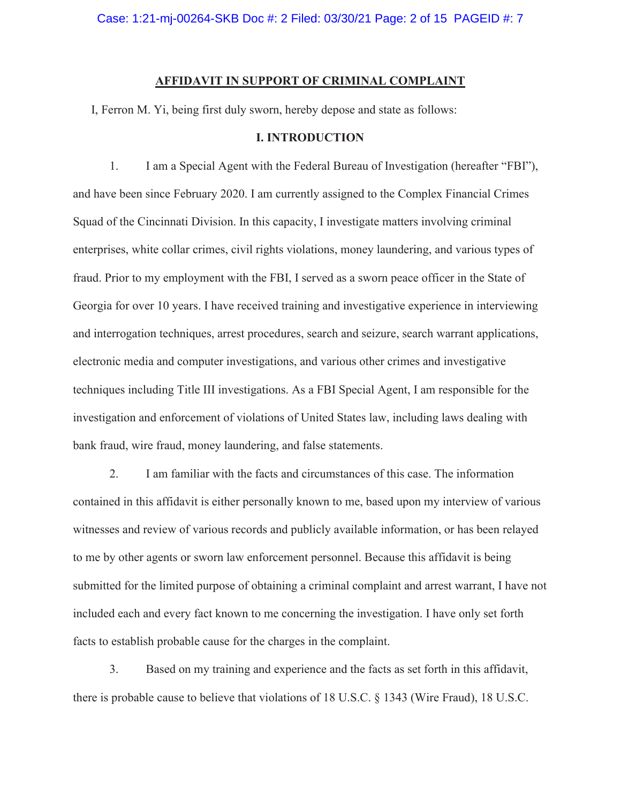Case: 1:21-mj-00264-SKB Doc #: 2 Filed: 03/30/21 Page: 2 of 15 PAGEID #: 7

#### **AFFIDAVIT IN SUPPORT OF CRIMINAL COMPLAINT**

I, Ferron M. Yi, being first duly sworn, hereby depose and state as follows:

#### **I. INTRODUCTION**

1. I am a Special Agent with the Federal Bureau of Investigation (hereafter "FBI"), and have been since February 2020. I am currently assigned to the Complex Financial Crimes Squad of the Cincinnati Division. In this capacity, I investigate matters involving criminal enterprises, white collar crimes, civil rights violations, money laundering, and various types of fraud. Prior to my employment with the FBI, I served as a sworn peace officer in the State of Georgia for over 10 years. I have received training and investigative experience in interviewing and interrogation techniques, arrest procedures, search and seizure, search warrant applications, electronic media and computer investigations, and various other crimes and investigative techniques including Title III investigations. As a FBI Special Agent, I am responsible for the investigation and enforcement of violations of United States law, including laws dealing with bank fraud, wire fraud, money laundering, and false statements.

2. I am familiar with the facts and circumstances of this case. The information contained in this affidavit is either personally known to me, based upon my interview of various witnesses and review of various records and publicly available information, or has been relayed to me by other agents or sworn law enforcement personnel. Because this affidavit is being submitted for the limited purpose of obtaining a criminal complaint and arrest warrant, I have not included each and every fact known to me concerning the investigation. I have only set forth facts to establish probable cause for the charges in the complaint.

3. Based on my training and experience and the facts as set forth in this affidavit, there is probable cause to believe that violations of 18 U.S.C. § 1343 (Wire Fraud), 18 U.S.C.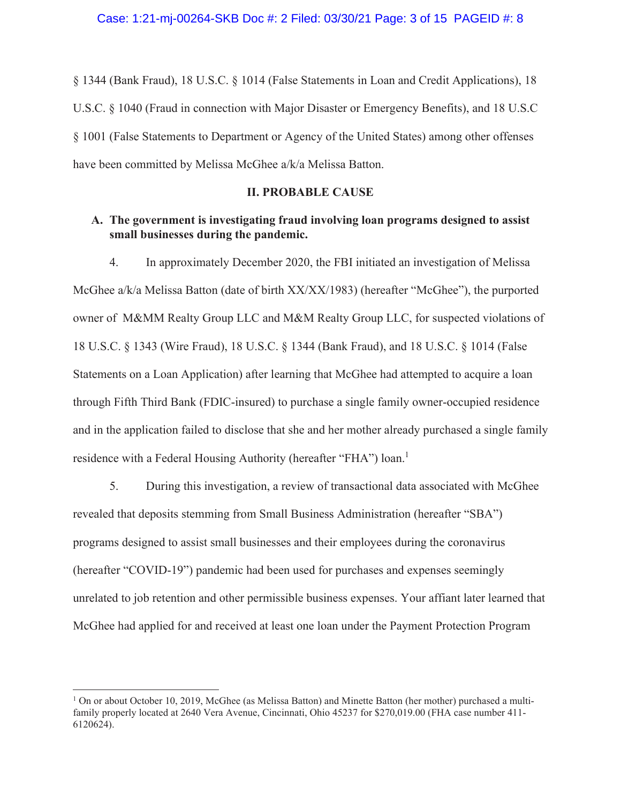§ 1344 (Bank Fraud), 18 U.S.C. § 1014 (False Statements in Loan and Credit Applications), 18 U.S.C. § 1040 (Fraud in connection with Major Disaster or Emergency Benefits), and 18 U.S.C § 1001 (False Statements to Department or Agency of the United States) among other offenses have been committed by Melissa McGhee a/k/a Melissa Batton.

# **II. PROBABLE CAUSE**

# **A. The government is investigating fraud involving loan programs designed to assist small businesses during the pandemic.**

4. In approximately December 2020, the FBI initiated an investigation of Melissa McGhee a/k/a Melissa Batton (date of birth XX/XX/1983) (hereafter "McGhee"), the purported owner of M&MM Realty Group LLC and M&M Realty Group LLC, for suspected violations of 18 U.S.C. § 1343 (Wire Fraud), 18 U.S.C. § 1344 (Bank Fraud), and 18 U.S.C. § 1014 (False Statements on a Loan Application) after learning that McGhee had attempted to acquire a loan through Fifth Third Bank (FDIC-insured) to purchase a single family owner-occupied residence and in the application failed to disclose that she and her mother already purchased a single family residence with a Federal Housing Authority (hereafter "FHA") loan.<sup>1</sup>

5. During this investigation, a review of transactional data associated with McGhee revealed that deposits stemming from Small Business Administration (hereafter "SBA") programs designed to assist small businesses and their employees during the coronavirus (hereafter "COVID-19") pandemic had been used for purchases and expenses seemingly unrelated to job retention and other permissible business expenses. Your affiant later learned that McGhee had applied for and received at least one loan under the Payment Protection Program

<sup>&</sup>lt;sup>1</sup> On or about October 10, 2019, McGhee (as Melissa Batton) and Minette Batton (her mother) purchased a multifamily properly located at 2640 Vera Avenue, Cincinnati, Ohio 45237 for \$270,019.00 (FHA case number 411- 6120624).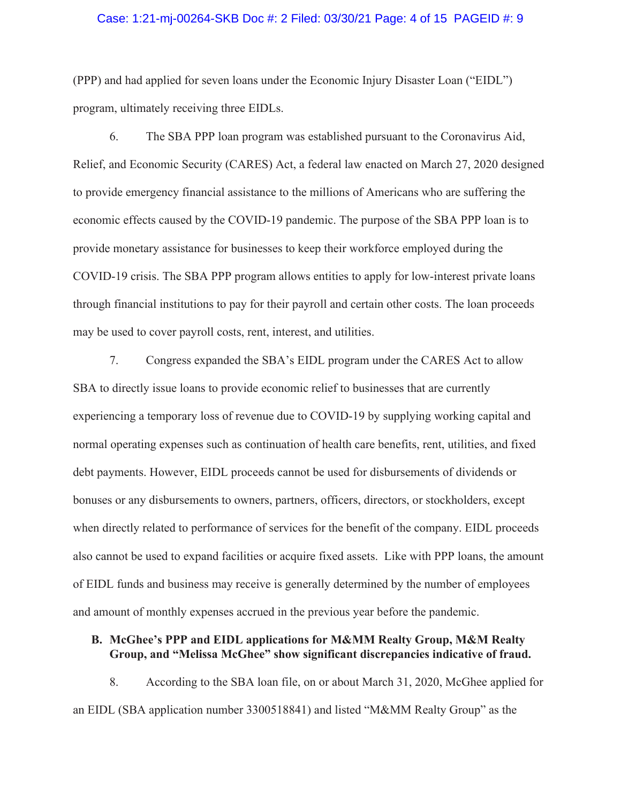#### Case: 1:21-mj-00264-SKB Doc #: 2 Filed: 03/30/21 Page: 4 of 15 PAGEID #: 9

(PPP) and had applied for seven loans under the Economic Injury Disaster Loan ("EIDL") program, ultimately receiving three EIDLs.

6. The SBA PPP loan program was established pursuant to the Coronavirus Aid, Relief, and Economic Security (CARES) Act, a federal law enacted on March 27, 2020 designed to provide emergency financial assistance to the millions of Americans who are suffering the economic effects caused by the COVID-19 pandemic. The purpose of the SBA PPP loan is to provide monetary assistance for businesses to keep their workforce employed during the COVID-19 crisis. The SBA PPP program allows entities to apply for low-interest private loans through financial institutions to pay for their payroll and certain other costs. The loan proceeds may be used to cover payroll costs, rent, interest, and utilities.

7. Congress expanded the SBA's EIDL program under the CARES Act to allow SBA to directly issue loans to provide economic relief to businesses that are currently experiencing a temporary loss of revenue due to COVID-19 by supplying working capital and normal operating expenses such as continuation of health care benefits, rent, utilities, and fixed debt payments. However, EIDL proceeds cannot be used for disbursements of dividends or bonuses or any disbursements to owners, partners, officers, directors, or stockholders, except when directly related to performance of services for the benefit of the company. EIDL proceeds also cannot be used to expand facilities or acquire fixed assets. Like with PPP loans, the amount of EIDL funds and business may receive is generally determined by the number of employees and amount of monthly expenses accrued in the previous year before the pandemic.

## **B. McGhee's PPP and EIDL applications for M&MM Realty Group, M&M Realty Group, and "Melissa McGhee" show significant discrepancies indicative of fraud.**

8. According to the SBA loan file, on or about March 31, 2020, McGhee applied for an EIDL (SBA application number 3300518841) and listed "M&MM Realty Group" as the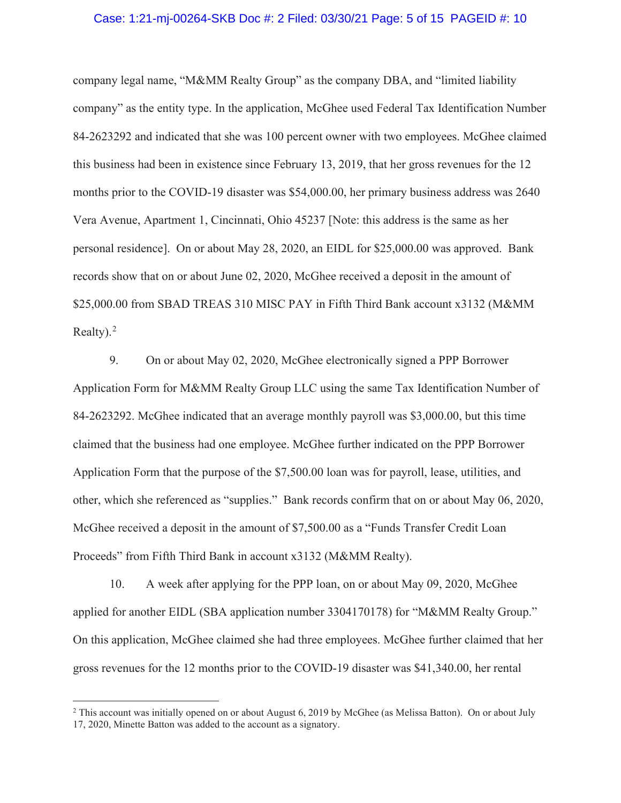#### Case: 1:21-mj-00264-SKB Doc #: 2 Filed: 03/30/21 Page: 5 of 15 PAGEID #: 10

company legal name, "M&MM Realty Group" as the company DBA, and "limited liability company" as the entity type. In the application, McGhee used Federal Tax Identification Number 84-2623292 and indicated that she was 100 percent owner with two employees. McGhee claimed this business had been in existence since February 13, 2019, that her gross revenues for the 12 months prior to the COVID-19 disaster was \$54,000.00, her primary business address was 2640 Vera Avenue, Apartment 1, Cincinnati, Ohio 45237 [Note: this address is the same as her personal residence]. On or about May 28, 2020, an EIDL for \$25,000.00 was approved. Bank records show that on or about June 02, 2020, McGhee received a deposit in the amount of \$25,000.00 from SBAD TREAS 310 MISC PAY in Fifth Third Bank account x3132 (M&MM Realty).<sup>2</sup>

9. On or about May 02, 2020, McGhee electronically signed a PPP Borrower Application Form for M&MM Realty Group LLC using the same Tax Identification Number of 84-2623292. McGhee indicated that an average monthly payroll was \$3,000.00, but this time claimed that the business had one employee. McGhee further indicated on the PPP Borrower Application Form that the purpose of the \$7,500.00 loan was for payroll, lease, utilities, and other, which she referenced as "supplies." Bank records confirm that on or about May 06, 2020, McGhee received a deposit in the amount of \$7,500.00 as a "Funds Transfer Credit Loan Proceeds" from Fifth Third Bank in account x3132 (M&MM Realty).

10. A week after applying for the PPP loan, on or about May 09, 2020, McGhee applied for another EIDL (SBA application number 3304170178) for "M&MM Realty Group." On this application, McGhee claimed she had three employees. McGhee further claimed that her gross revenues for the 12 months prior to the COVID-19 disaster was \$41,340.00, her rental

<sup>&</sup>lt;sup>2</sup> This account was initially opened on or about August 6, 2019 by McGhee (as Melissa Batton). On or about July 17, 2020, Minette Batton was added to the account as a signatory.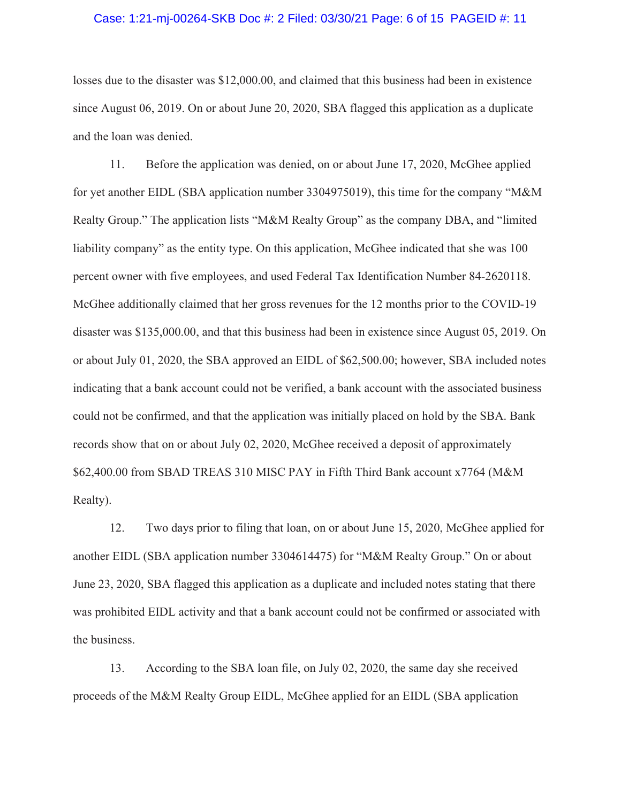#### Case: 1:21-mj-00264-SKB Doc #: 2 Filed: 03/30/21 Page: 6 of 15 PAGEID #: 11

losses due to the disaster was \$12,000.00, and claimed that this business had been in existence since August 06, 2019. On or about June 20, 2020, SBA flagged this application as a duplicate and the loan was denied.

11. Before the application was denied, on or about June 17, 2020, McGhee applied for yet another EIDL (SBA application number 3304975019), this time for the company "M&M Realty Group." The application lists "M&M Realty Group" as the company DBA, and "limited liability company" as the entity type. On this application, McGhee indicated that she was 100 percent owner with five employees, and used Federal Tax Identification Number 84-2620118. McGhee additionally claimed that her gross revenues for the 12 months prior to the COVID-19 disaster was \$135,000.00, and that this business had been in existence since August 05, 2019. On or about July 01, 2020, the SBA approved an EIDL of \$62,500.00; however, SBA included notes indicating that a bank account could not be verified, a bank account with the associated business could not be confirmed, and that the application was initially placed on hold by the SBA. Bank records show that on or about July 02, 2020, McGhee received a deposit of approximately \$62,400.00 from SBAD TREAS 310 MISC PAY in Fifth Third Bank account x7764 (M&M Realty).

12. Two days prior to filing that loan, on or about June 15, 2020, McGhee applied for another EIDL (SBA application number 3304614475) for "M&M Realty Group." On or about June 23, 2020, SBA flagged this application as a duplicate and included notes stating that there was prohibited EIDL activity and that a bank account could not be confirmed or associated with the business.

13. According to the SBA loan file, on July 02, 2020, the same day she received proceeds of the M&M Realty Group EIDL, McGhee applied for an EIDL (SBA application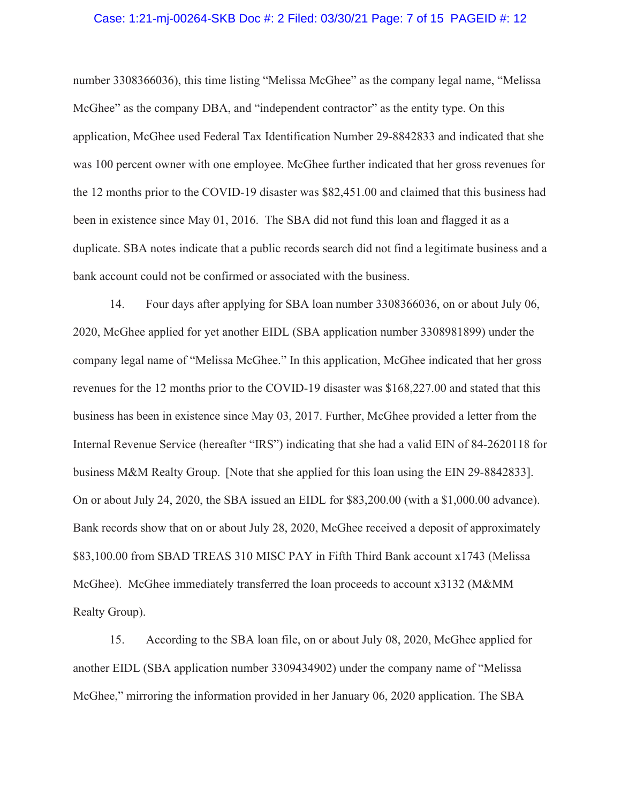#### Case: 1:21-mj-00264-SKB Doc #: 2 Filed: 03/30/21 Page: 7 of 15 PAGEID #: 12

number 3308366036), this time listing "Melissa McGhee" as the company legal name, "Melissa McGhee" as the company DBA, and "independent contractor" as the entity type. On this application, McGhee used Federal Tax Identification Number 29-8842833 and indicated that she was 100 percent owner with one employee. McGhee further indicated that her gross revenues for the 12 months prior to the COVID-19 disaster was \$82,451.00 and claimed that this business had been in existence since May 01, 2016. The SBA did not fund this loan and flagged it as a duplicate. SBA notes indicate that a public records search did not find a legitimate business and a bank account could not be confirmed or associated with the business.

14. Four days after applying for SBA loan number 3308366036, on or about July 06, 2020, McGhee applied for yet another EIDL (SBA application number 3308981899) under the company legal name of "Melissa McGhee." In this application, McGhee indicated that her gross revenues for the 12 months prior to the COVID-19 disaster was \$168,227.00 and stated that this business has been in existence since May 03, 2017. Further, McGhee provided a letter from the Internal Revenue Service (hereafter "IRS") indicating that she had a valid EIN of 84-2620118 for business M&M Realty Group. [Note that she applied for this loan using the EIN 29-8842833]. On or about July 24, 2020, the SBA issued an EIDL for \$83,200.00 (with a \$1,000.00 advance). Bank records show that on or about July 28, 2020, McGhee received a deposit of approximately \$83,100.00 from SBAD TREAS 310 MISC PAY in Fifth Third Bank account x1743 (Melissa McGhee). McGhee immediately transferred the loan proceeds to account x3132 (M&MM Realty Group).

15. According to the SBA loan file, on or about July 08, 2020, McGhee applied for another EIDL (SBA application number 3309434902) under the company name of "Melissa McGhee," mirroring the information provided in her January 06, 2020 application. The SBA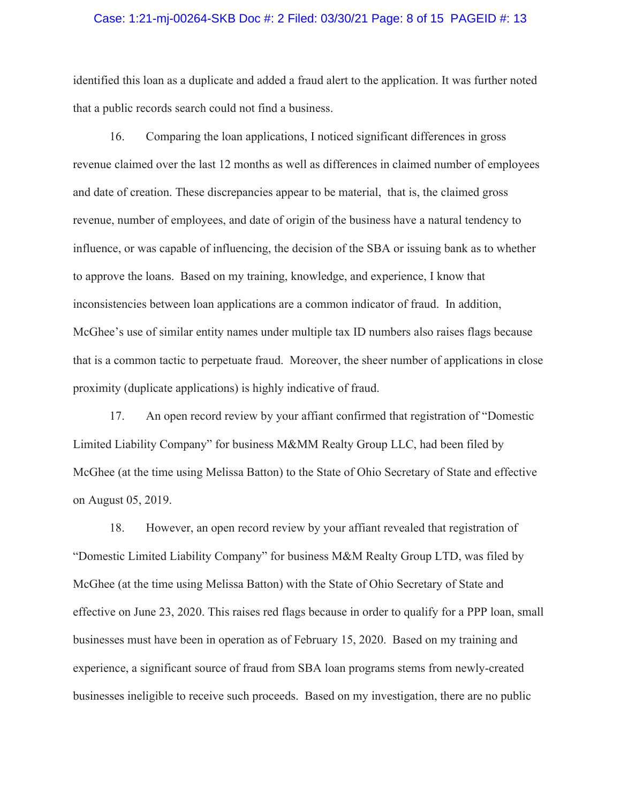#### Case: 1:21-mj-00264-SKB Doc #: 2 Filed: 03/30/21 Page: 8 of 15 PAGEID #: 13

identified this loan as a duplicate and added a fraud alert to the application. It was further noted that a public records search could not find a business.

16. Comparing the loan applications, I noticed significant differences in gross revenue claimed over the last 12 months as well as differences in claimed number of employees and date of creation. These discrepancies appear to be material, that is, the claimed gross revenue, number of employees, and date of origin of the business have a natural tendency to influence, or was capable of influencing, the decision of the SBA or issuing bank as to whether to approve the loans. Based on my training, knowledge, and experience, I know that inconsistencies between loan applications are a common indicator of fraud. In addition, McGhee's use of similar entity names under multiple tax ID numbers also raises flags because that is a common tactic to perpetuate fraud. Moreover, the sheer number of applications in close proximity (duplicate applications) is highly indicative of fraud.

17. An open record review by your affiant confirmed that registration of "Domestic Limited Liability Company" for business M&MM Realty Group LLC, had been filed by McGhee (at the time using Melissa Batton) to the State of Ohio Secretary of State and effective on August 05, 2019.

18. However, an open record review by your affiant revealed that registration of "Domestic Limited Liability Company" for business M&M Realty Group LTD, was filed by McGhee (at the time using Melissa Batton) with the State of Ohio Secretary of State and effective on June 23, 2020. This raises red flags because in order to qualify for a PPP loan, small businesses must have been in operation as of February 15, 2020. Based on my training and experience, a significant source of fraud from SBA loan programs stems from newly-created businesses ineligible to receive such proceeds. Based on my investigation, there are no public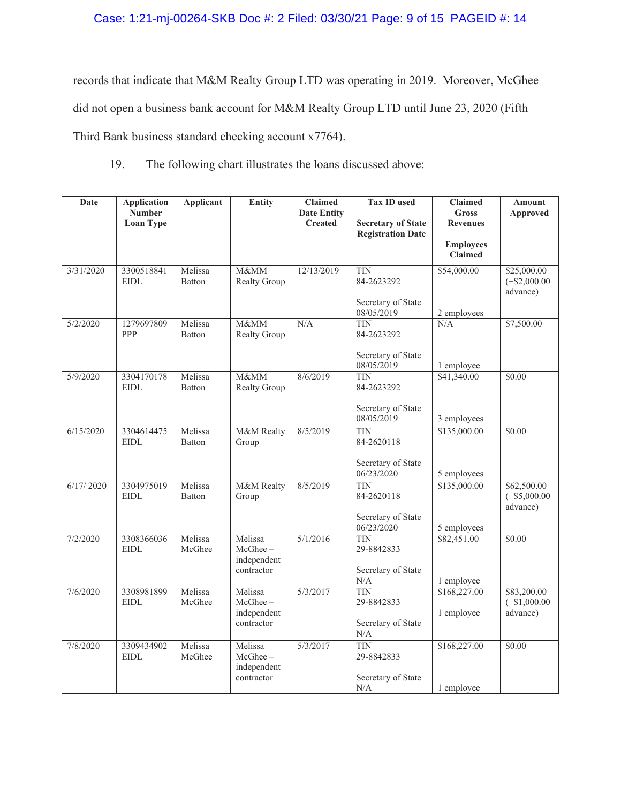# Case: 1:21-mj-00264-SKB Doc #: 2 Filed: 03/30/21 Page: 9 of 15 PAGEID #: 14

records that indicate that M&M Realty Group LTD was operating in 2019. Moreover, McGhee did not open a business bank account for M&M Realty Group LTD until June 23, 2020 (Fifth Third Bank business standard checking account x7764).

19. The following chart illustrates the loans discussed above:

| Date      | <b>Application</b>        | <b>Applicant</b>  | <b>Entity</b>             | <b>Claimed</b>     | <b>Tax ID used</b>                                    | <b>Claimed</b>              | <b>Amount</b>              |
|-----------|---------------------------|-------------------|---------------------------|--------------------|-------------------------------------------------------|-----------------------------|----------------------------|
|           | <b>Number</b>             |                   |                           | <b>Date Entity</b> |                                                       | <b>Gross</b>                | Approved                   |
|           | <b>Loan Type</b>          |                   |                           | <b>Created</b>     | <b>Secretary of State</b><br><b>Registration Date</b> | <b>Revenues</b>             |                            |
|           |                           |                   |                           |                    |                                                       | <b>Employees</b>            |                            |
|           |                           |                   |                           |                    |                                                       | Claimed                     |                            |
| 3/31/2020 | 3300518841                | Melissa           | M&MM                      | 12/13/2019         | <b>TIN</b>                                            | \$54,000.00                 | \$25,000.00                |
|           | <b>EIDL</b>               | Batton            | Realty Group              |                    | 84-2623292                                            |                             | $(+\$2,000.00$<br>advance) |
|           |                           |                   |                           |                    | Secretary of State                                    |                             |                            |
|           |                           |                   |                           |                    | 08/05/2019                                            | 2 employees                 |                            |
| 5/2/2020  | 1279697809                | Melissa           | M&MM                      | N/A                | <b>TIN</b>                                            | N/A                         | \$7,500.00                 |
|           | PPP                       | Batton            | <b>Realty Group</b>       |                    | 84-2623292                                            |                             |                            |
|           |                           |                   |                           |                    | Secretary of State                                    |                             |                            |
|           |                           |                   |                           |                    | 08/05/2019                                            | 1 employee                  |                            |
| 5/9/2020  | 3304170178<br><b>EIDL</b> | Melissa<br>Batton | M&MM<br>Realty Group      | 8/6/2019           | <b>TIN</b><br>84-2623292                              | \$41,340.00                 | \$0.00                     |
|           |                           |                   |                           |                    |                                                       |                             |                            |
|           |                           |                   |                           |                    | Secretary of State                                    |                             |                            |
| 6/15/2020 | 3304614475                | Melissa           | M&M Realty                | 8/5/2019           | 08/05/2019<br><b>TIN</b>                              | 3 employees<br>\$135,000.00 | \$0.00                     |
|           | <b>EIDL</b>               | Batton            | Group                     |                    | 84-2620118                                            |                             |                            |
|           |                           |                   |                           |                    |                                                       |                             |                            |
|           |                           |                   |                           |                    | Secretary of State<br>06/23/2020                      | 5 employees                 |                            |
| 6/17/2020 | 3304975019                | Melissa           | M&M Realty                | 8/5/2019           | <b>TIN</b>                                            | \$135,000.00                | \$62,500.00                |
|           | <b>EIDL</b>               | Batton            | Group                     |                    | 84-2620118                                            |                             | $(+\$5,000.00$             |
|           |                           |                   |                           |                    |                                                       |                             | advance)                   |
|           |                           |                   |                           |                    | Secretary of State<br>06/23/2020                      | 5 employees                 |                            |
| 7/2/2020  | 3308366036                | Melissa           | Melissa                   | 5/1/2016           | <b>TIN</b>                                            | \$82,451.00                 | \$0.00                     |
|           | <b>EIDL</b>               | McGhee            | McGhee-                   |                    | 29-8842833                                            |                             |                            |
|           |                           |                   | independent<br>contractor |                    | Secretary of State                                    |                             |                            |
|           |                           |                   |                           |                    | $\rm N/A$                                             | 1 employee                  |                            |
| 7/6/2020  | 3308981899                | Melissa           | Melissa                   | 5/3/2017           | <b>TIN</b>                                            | \$168,227.00                | \$83,200.00                |
|           | <b>EIDL</b>               | McGhee            | McGhee-<br>independent    |                    | 29-8842833                                            | 1 employee                  | $(+\$1,000.00$<br>advance) |
|           |                           |                   | contractor                |                    | Secretary of State                                    |                             |                            |
|           |                           |                   |                           |                    | $\rm N/A$                                             |                             |                            |
| 7/8/2020  | 3309434902<br><b>EIDL</b> | Melissa<br>McGhee | Melissa<br>$McGhee -$     | 5/3/2017           | <b>TIN</b><br>29-8842833                              | \$168,227.00                | \$0.00                     |
|           |                           |                   | independent               |                    |                                                       |                             |                            |
|           |                           |                   | contractor                |                    | Secretary of State                                    |                             |                            |
|           |                           |                   |                           |                    | N/A                                                   | 1 employee                  |                            |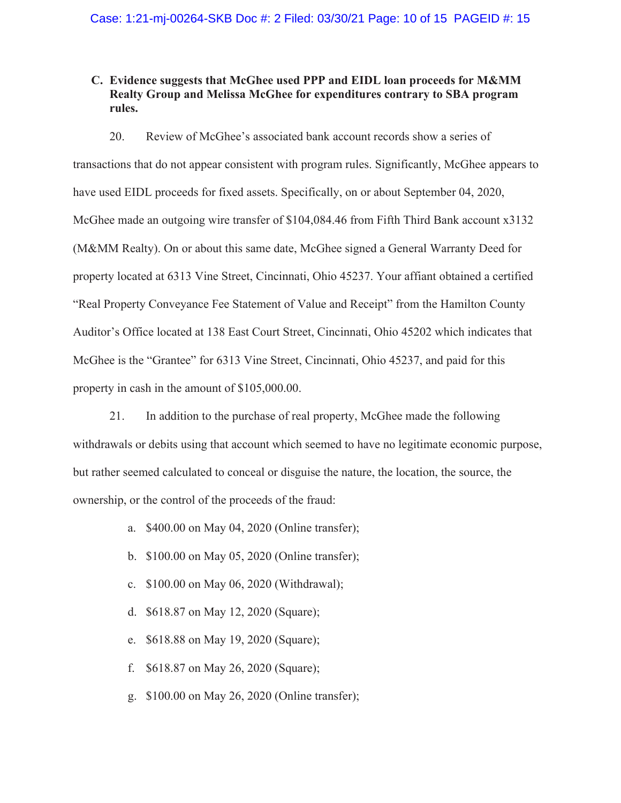# **C. Evidence suggests that McGhee used PPP and EIDL loan proceeds for M&MM Realty Group and Melissa McGhee for expenditures contrary to SBA program rules.**

20. Review of McGhee's associated bank account records show a series of transactions that do not appear consistent with program rules. Significantly, McGhee appears to have used EIDL proceeds for fixed assets. Specifically, on or about September 04, 2020, McGhee made an outgoing wire transfer of \$104,084.46 from Fifth Third Bank account x3132 (M&MM Realty). On or about this same date, McGhee signed a General Warranty Deed for property located at 6313 Vine Street, Cincinnati, Ohio 45237. Your affiant obtained a certified "Real Property Conveyance Fee Statement of Value and Receipt" from the Hamilton County Auditor's Office located at 138 East Court Street, Cincinnati, Ohio 45202 which indicates that McGhee is the "Grantee" for 6313 Vine Street, Cincinnati, Ohio 45237, and paid for this property in cash in the amount of \$105,000.00.

21. In addition to the purchase of real property, McGhee made the following withdrawals or debits using that account which seemed to have no legitimate economic purpose, but rather seemed calculated to conceal or disguise the nature, the location, the source, the ownership, or the control of the proceeds of the fraud:

- a. \$400.00 on May 04, 2020 (Online transfer);
- b. \$100.00 on May 05, 2020 (Online transfer);
- c. \$100.00 on May 06, 2020 (Withdrawal);
- d. \$618.87 on May 12, 2020 (Square);
- e. \$618.88 on May 19, 2020 (Square);
- f. \$618.87 on May 26, 2020 (Square);
- g. \$100.00 on May 26, 2020 (Online transfer);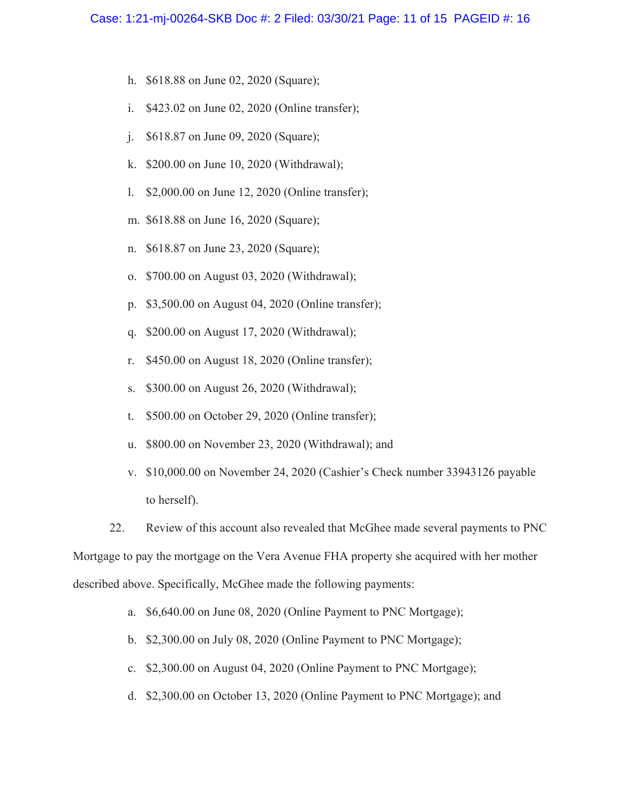- h. \$618.88 on June 02, 2020 (Square);
- i. \$423.02 on June 02, 2020 (Online transfer);
- j. \$618.87 on June 09, 2020 (Square);
- k. \$200.00 on June 10, 2020 (Withdrawal);
- l. \$2,000.00 on June 12, 2020 (Online transfer);
- m. \$618.88 on June 16, 2020 (Square);
- n. \$618.87 on June 23, 2020 (Square);
- o. \$700.00 on August 03, 2020 (Withdrawal);
- p. \$3,500.00 on August 04, 2020 (Online transfer);
- q. \$200.00 on August 17, 2020 (Withdrawal);
- r. \$450.00 on August 18, 2020 (Online transfer);
- s. \$300.00 on August 26, 2020 (Withdrawal);
- t. \$500.00 on October 29, 2020 (Online transfer);
- u. \$800.00 on November 23, 2020 (Withdrawal); and
- v. \$10,000.00 on November 24, 2020 (Cashier's Check number 33943126 payable to herself).

22. Review of this account also revealed that McGhee made several payments to PNC Mortgage to pay the mortgage on the Vera Avenue FHA property she acquired with her mother described above. Specifically, McGhee made the following payments:

a. \$6,640.00 on June 08, 2020 (Online Payment to PNC Mortgage);

- b. \$2,300.00 on July 08, 2020 (Online Payment to PNC Mortgage);
- c. \$2,300.00 on August 04, 2020 (Online Payment to PNC Mortgage);
- d. \$2,300.00 on October 13, 2020 (Online Payment to PNC Mortgage); and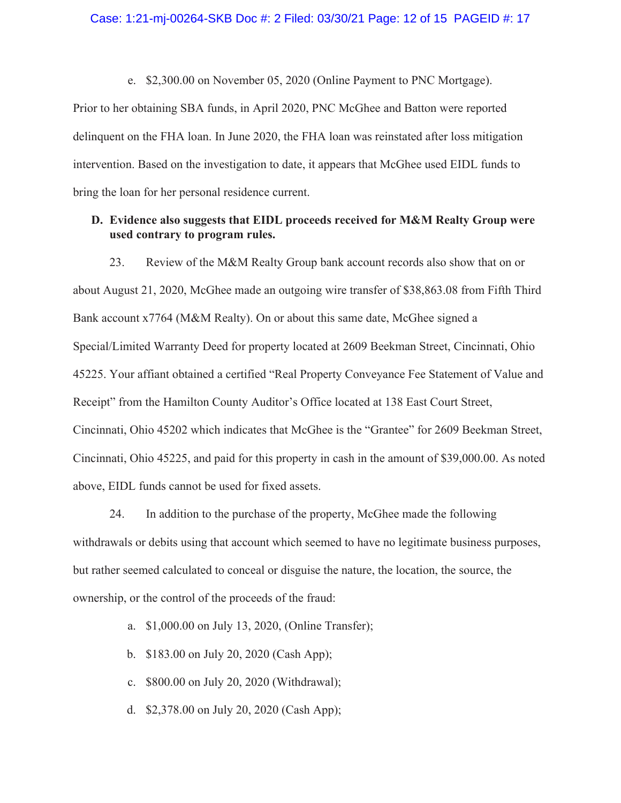#### Case: 1:21-mj-00264-SKB Doc #: 2 Filed: 03/30/21 Page: 12 of 15 PAGEID #: 17

e. \$2,300.00 on November 05, 2020 (Online Payment to PNC Mortgage).

Prior to her obtaining SBA funds, in April 2020, PNC McGhee and Batton were reported delinquent on the FHA loan. In June 2020, the FHA loan was reinstated after loss mitigation intervention. Based on the investigation to date, it appears that McGhee used EIDL funds to bring the loan for her personal residence current.

# **D. Evidence also suggests that EIDL proceeds received for M&M Realty Group were used contrary to program rules.**

23. Review of the M&M Realty Group bank account records also show that on or about August 21, 2020, McGhee made an outgoing wire transfer of \$38,863.08 from Fifth Third Bank account x7764 (M&M Realty). On or about this same date, McGhee signed a Special/Limited Warranty Deed for property located at 2609 Beekman Street, Cincinnati, Ohio 45225. Your affiant obtained a certified "Real Property Conveyance Fee Statement of Value and Receipt" from the Hamilton County Auditor's Office located at 138 East Court Street, Cincinnati, Ohio 45202 which indicates that McGhee is the "Grantee" for 2609 Beekman Street, Cincinnati, Ohio 45225, and paid for this property in cash in the amount of \$39,000.00. As noted above, EIDL funds cannot be used for fixed assets.

24. In addition to the purchase of the property, McGhee made the following withdrawals or debits using that account which seemed to have no legitimate business purposes, but rather seemed calculated to conceal or disguise the nature, the location, the source, the ownership, or the control of the proceeds of the fraud:

- a. \$1,000.00 on July 13, 2020, (Online Transfer);
- b. \$183.00 on July 20, 2020 (Cash App);
- c. \$800.00 on July 20, 2020 (Withdrawal);
- d. \$2,378.00 on July 20, 2020 (Cash App);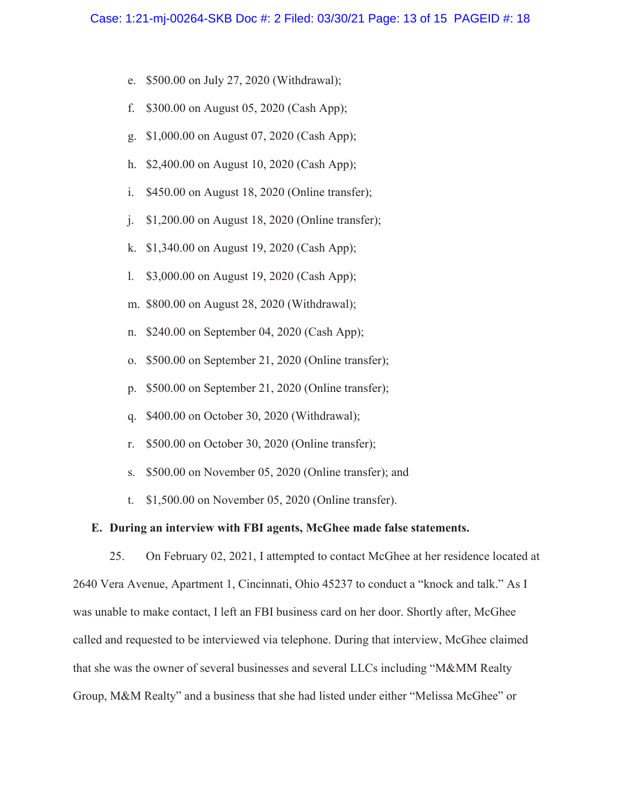- e. \$500.00 on July 27, 2020 (Withdrawal);
- f. \$300.00 on August 05, 2020 (Cash App);
- g. \$1,000.00 on August 07, 2020 (Cash App);
- h. \$2,400.00 on August 10, 2020 (Cash App);
- i. \$450.00 on August 18, 2020 (Online transfer);
- j. \$1,200.00 on August 18, 2020 (Online transfer);
- k. \$1,340.00 on August 19, 2020 (Cash App);
- l. \$3,000.00 on August 19, 2020 (Cash App);
- m. \$800.00 on August 28, 2020 (Withdrawal);
- n. \$240.00 on September 04, 2020 (Cash App);
- o. \$500.00 on September 21, 2020 (Online transfer);
- p. \$500.00 on September 21, 2020 (Online transfer);
- q. \$400.00 on October 30, 2020 (Withdrawal);
- r. \$500.00 on October 30, 2020 (Online transfer);
- s. \$500.00 on November 05, 2020 (Online transfer); and
- t. \$1,500.00 on November 05, 2020 (Online transfer).

#### **E. During an interview with FBI agents, McGhee made false statements.**

25. On February 02, 2021, I attempted to contact McGhee at her residence located at 2640 Vera Avenue, Apartment 1, Cincinnati, Ohio 45237 to conduct a "knock and talk." As I was unable to make contact, I left an FBI business card on her door. Shortly after, McGhee called and requested to be interviewed via telephone. During that interview, McGhee claimed that she was the owner of several businesses and several LLCs including "M&MM Realty Group, M&M Realty" and a business that she had listed under either "Melissa McGhee" or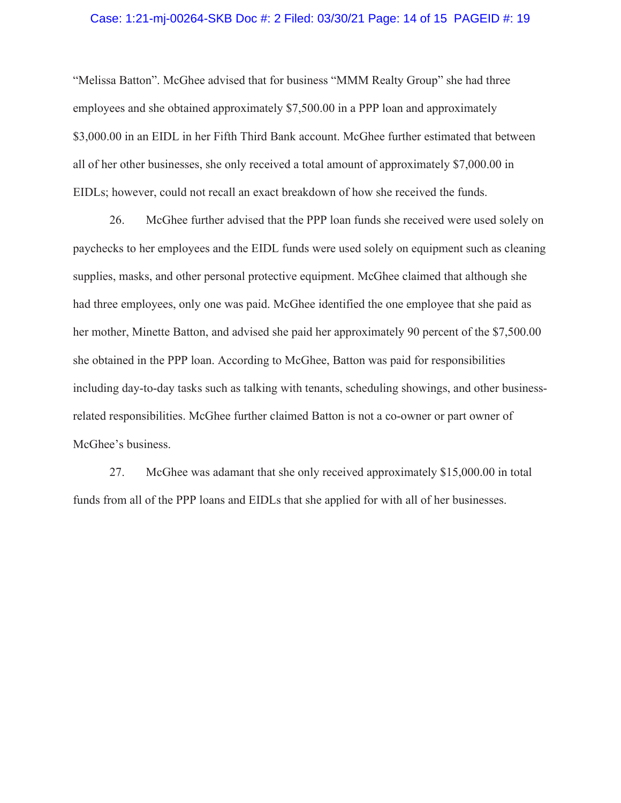#### Case: 1:21-mj-00264-SKB Doc #: 2 Filed: 03/30/21 Page: 14 of 15 PAGEID #: 19

"Melissa Batton". McGhee advised that for business "MMM Realty Group" she had three employees and she obtained approximately \$7,500.00 in a PPP loan and approximately \$3,000.00 in an EIDL in her Fifth Third Bank account. McGhee further estimated that between all of her other businesses, she only received a total amount of approximately \$7,000.00 in EIDLs; however, could not recall an exact breakdown of how she received the funds.

26. McGhee further advised that the PPP loan funds she received were used solely on paychecks to her employees and the EIDL funds were used solely on equipment such as cleaning supplies, masks, and other personal protective equipment. McGhee claimed that although she had three employees, only one was paid. McGhee identified the one employee that she paid as her mother, Minette Batton, and advised she paid her approximately 90 percent of the \$7,500.00 she obtained in the PPP loan. According to McGhee, Batton was paid for responsibilities including day-to-day tasks such as talking with tenants, scheduling showings, and other businessrelated responsibilities. McGhee further claimed Batton is not a co-owner or part owner of McGhee's business.

27. McGhee was adamant that she only received approximately \$15,000.00 in total funds from all of the PPP loans and EIDLs that she applied for with all of her businesses.